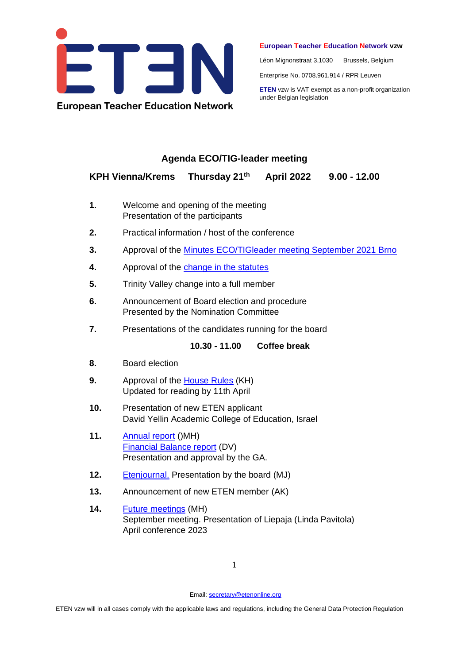

## **European Teacher Education Network vzw**

Léon Mignonstraat 3,1030 Brussels, Belgium

Enterprise No. 0708.961.914 / RPR Leuven

**ETEN** vzw is VAT exempt as a non-profit organization under Belgian legislation

## **Agenda ECO/TIG-leader meeting**

## **KPH Vienna/Krems Thursday 21th April 2022 9.00 - 12.00**

- **1.** Welcome and opening of the meeting Presentation of the participants
- **2.** Practical information / host of the conference
- **3.** Approval of the Minutes ECO/TIGleader [meeting September 2021](https://drive.google.com/drive/folders/1-rfQsZMK67VJDDcIA3KaatxefSRsKw2C) Brno
- **4.** Approval of the [change in the statutes](https://docs.google.com/document/d/1S3TJZVS7qaY4kjH6yeAwngqVpvKEim0B/edit?usp=sharing&ouid=113535480353639601928&rtpof=true&sd=true)
- **5.** Trinity Valley change into a full member
- **6.** Announcement of Board election and procedure Presented by the Nomination Committee
- **7.** Presentations of the candidates running for the board

**10.30 - 11.00 Coffee break**

- **8.** Board election
- **9.** Approval of the [House Rules](https://docs.google.com/document/d/11kavmmyJLNWKBzBuw4_a4mn4j_FPWrbi/edit?usp=sharing&ouid=113535480353639601928&rtpof=true&sd=true) (KH) Updated for reading by 11th April
- **10.** Presentation of new ETEN applicant David Yellin Academic College of Education, Israel
- **11.** [Annual report](https://drive.google.com/drive/folders/14NTz0X0OV1pZ8L5PdjHWM3eocPebZPSZ) ()MH) [Financial Balance report](https://drive.google.com/drive/folders/1S9GuaGETOEJe3Jx_pvgHZIXf9Oj7pHUJ?usp=sharing) (DV) Presentation and approval by the GA.
- **12.** [Etenjournal.](https://etenjournal.com/) Presentation by the board (MJ)
- **13.** Announcement of new ETEN member (AK)
- **14.** [Future meetings](https://docs.google.com/document/d/1UzzrxxGmzDIi2-vovOY_aYZ4uxxHFevr/edit?usp=sharing&ouid=113535480353639601928&rtpof=true&sd=true) (MH) September meeting. Presentation of Liepaja (Linda Pavitola) April conference 2023

Email: [secretary@etenonline.org](mailto:secretary@etenonline.org)

ETEN vzw will in all cases comply with the applicable laws and regulations, including the General Data Protection Regulation